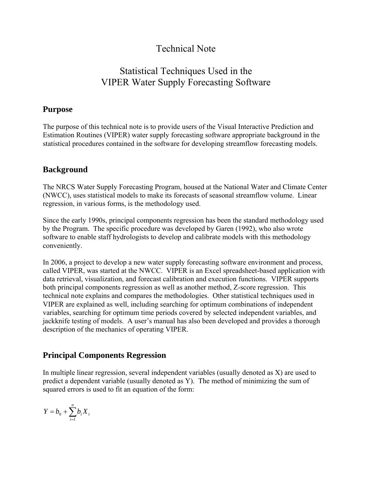# Technical Note

# Statistical Techniques Used in the VIPER Water Supply Forecasting Software

# **Purpose**

The purpose of this technical note is to provide users of the Visual Interactive Prediction and Estimation Routines (VIPER) water supply forecasting software appropriate background in the statistical procedures contained in the software for developing streamflow forecasting models.

# **Background**

The NRCS Water Supply Forecasting Program, housed at the National Water and Climate Center (NWCC), uses statistical models to make its forecasts of seasonal streamflow volume. Linear regression, in various forms, is the methodology used.

Since the early 1990s, principal components regression has been the standard methodology used by the Program. The specific procedure was developed by Garen (1992), who also wrote software to enable staff hydrologists to develop and calibrate models with this methodology conveniently.

In 2006, a project to develop a new water supply forecasting software environment and process, called VIPER, was started at the NWCC. VIPER is an Excel spreadsheet-based application with data retrieval, visualization, and forecast calibration and execution functions. VIPER supports both principal components regression as well as another method, Z-score regression. This technical note explains and compares the methodologies. Other statistical techniques used in VIPER are explained as well, including searching for optimum combinations of independent variables, searching for optimum time periods covered by selected independent variables, and jackknife testing of models. A user's manual has also been developed and provides a thorough description of the mechanics of operating VIPER.

# **Principal Components Regression**

In multiple linear regression, several independent variables (usually denoted as X) are used to predict a dependent variable (usually denoted as Y). The method of minimizing the sum of squared errors is used to fit an equation of the form:

$$
Y=b_0+\sum_{i=1}^n b_i X_i
$$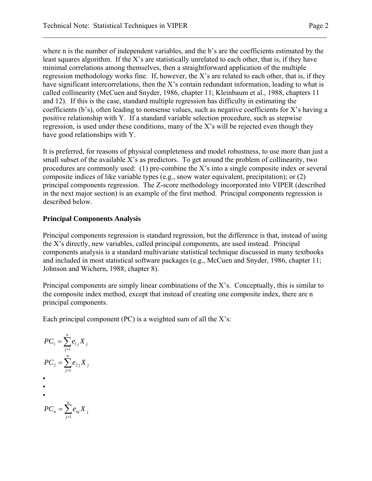where n is the number of independent variables, and the b's are the coefficients estimated by the least squares algorithm. If the X's are statistically unrelated to each other, that is, if they have minimal correlations among themselves, then a straightforward application of the multiple regression methodology works fine. If, however, the X's are related to each other, that is, if they have significant intercorrelations, then the X's contain redundant information, leading to what is called collinearity (McCuen and Snyder, 1986, chapter 11; Kleinbaum et al., 1988, chapters 11 and 12). If this is the case, standard multiple regression has difficulty in estimating the coefficients (b's), often leading to nonsense values, such as negative coefficients for X's having a positive relationship with Y. If a standard variable selection procedure, such as stepwise regression, is used under these conditions, many of the X's will be rejected even though they have good relationships with Y.

It is preferred, for reasons of physical completeness and model robustness, to use more than just a small subset of the available X's as predictors. To get around the problem of collinearity, two procedures are commonly used: (1) pre-combine the X's into a single composite index or several composite indices of like variable types (e.g., snow water equivalent, precipitation); or (2) principal components regression. The Z-score methodology incorporated into VIPER (described in the next major section) is an example of the first method. Principal components regression is described below.

#### **Principal Components Analysis**

Principal components regression is standard regression, but the difference is that, instead of using the X's directly, new variables, called principal components, are used instead. Principal components analysis is a standard multivariate statistical technique discussed in many textbooks and included in most statistical software packages (e.g., McCuen and Snyder, 1986, chapter 11; Johnson and Wichern, 1988, chapter 8).

Principal components are simply linear combinations of the X's. Conceptually, this is similar to the composite index method, except that instead of creating one composite index, there are n principal components.

Each principal component (PC) is a weighted sum of all the  $X$ 's:

∑= = *n j <sup>j</sup> X <sup>j</sup> PC e* 1 1 1 ∑= = *n j <sup>j</sup> X <sup>j</sup> PC e* 1 2 2 • • • ∑= = *n j <sup>n</sup> nj X <sup>j</sup> PC e* 1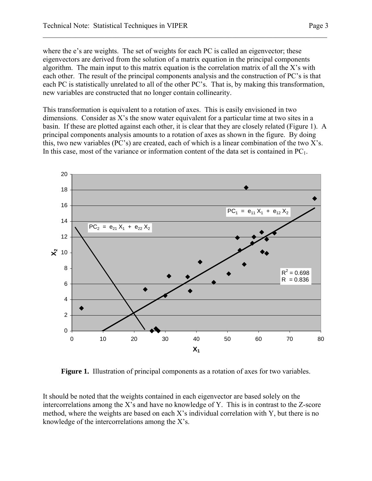where the e's are weights. The set of weights for each PC is called an eigenvector; these eigenvectors are derived from the solution of a matrix equation in the principal components algorithm. The main input to this matrix equation is the correlation matrix of all the X's with each other. The result of the principal components analysis and the construction of PC's is that each PC is statistically unrelated to all of the other PC's. That is, by making this transformation, new variables are constructed that no longer contain collinearity.

 $\mathcal{L}_\mathcal{L} = \mathcal{L}_\mathcal{L} = \mathcal{L}_\mathcal{L} = \mathcal{L}_\mathcal{L} = \mathcal{L}_\mathcal{L} = \mathcal{L}_\mathcal{L} = \mathcal{L}_\mathcal{L} = \mathcal{L}_\mathcal{L} = \mathcal{L}_\mathcal{L} = \mathcal{L}_\mathcal{L} = \mathcal{L}_\mathcal{L} = \mathcal{L}_\mathcal{L} = \mathcal{L}_\mathcal{L} = \mathcal{L}_\mathcal{L} = \mathcal{L}_\mathcal{L} = \mathcal{L}_\mathcal{L} = \mathcal{L}_\mathcal{L}$ 

This transformation is equivalent to a rotation of axes. This is easily envisioned in two dimensions. Consider as X's the snow water equivalent for a particular time at two sites in a basin. If these are plotted against each other, it is clear that they are closely related (Figure 1). A principal components analysis amounts to a rotation of axes as shown in the figure. By doing this, two new variables (PC's) are created, each of which is a linear combination of the two X's. In this case, most of the variance or information content of the data set is contained in  $PC<sub>1</sub>$ .



**Figure 1.** Illustration of principal components as a rotation of axes for two variables.

It should be noted that the weights contained in each eigenvector are based solely on the intercorrelations among the X's and have no knowledge of Y. This is in contrast to the Z-score method, where the weights are based on each X's individual correlation with Y, but there is no knowledge of the intercorrelations among the X's.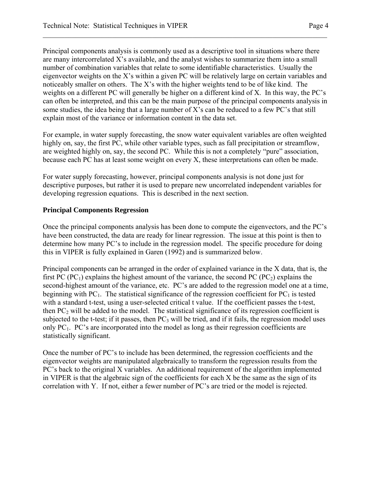Principal components analysis is commonly used as a descriptive tool in situations where there are many intercorrelated X's available, and the analyst wishes to summarize them into a small number of combination variables that relate to some identifiable characteristics. Usually the eigenvector weights on the X's within a given PC will be relatively large on certain variables and noticeably smaller on others. The X's with the higher weights tend to be of like kind. The weights on a different PC will generally be higher on a different kind of X. In this way, the PC's can often be interpreted, and this can be the main purpose of the principal components analysis in some studies, the idea being that a large number of  $X$ 's can be reduced to a few PC's that still explain most of the variance or information content in the data set.

 $\mathcal{L}_\mathcal{L} = \mathcal{L}_\mathcal{L} = \mathcal{L}_\mathcal{L} = \mathcal{L}_\mathcal{L} = \mathcal{L}_\mathcal{L} = \mathcal{L}_\mathcal{L} = \mathcal{L}_\mathcal{L} = \mathcal{L}_\mathcal{L} = \mathcal{L}_\mathcal{L} = \mathcal{L}_\mathcal{L} = \mathcal{L}_\mathcal{L} = \mathcal{L}_\mathcal{L} = \mathcal{L}_\mathcal{L} = \mathcal{L}_\mathcal{L} = \mathcal{L}_\mathcal{L} = \mathcal{L}_\mathcal{L} = \mathcal{L}_\mathcal{L}$ 

For example, in water supply forecasting, the snow water equivalent variables are often weighted highly on, say, the first PC, while other variable types, such as fall precipitation or streamflow, are weighted highly on, say, the second PC. While this is not a completely "pure" association, because each PC has at least some weight on every X, these interpretations can often be made.

For water supply forecasting, however, principal components analysis is not done just for descriptive purposes, but rather it is used to prepare new uncorrelated independent variables for developing regression equations. This is described in the next section.

#### **Principal Components Regression**

Once the principal components analysis has been done to compute the eigenvectors, and the PC's have been constructed, the data are ready for linear regression. The issue at this point is then to determine how many PC's to include in the regression model. The specific procedure for doing this in VIPER is fully explained in Garen (1992) and is summarized below.

Principal components can be arranged in the order of explained variance in the X data, that is, the first PC (PC<sub>1</sub>) explains the highest amount of the variance, the second PC (PC<sub>2</sub>) explains the second-highest amount of the variance, etc. PC's are added to the regression model one at a time, beginning with  $PC_1$ . The statistical significance of the regression coefficient for  $PC_1$  is tested with a standard t-test, using a user-selected critical t value. If the coefficient passes the t-test, then  $PC<sub>2</sub>$  will be added to the model. The statistical significance of its regression coefficient is subjected to the t-test; if it passes, then  $PC_3$  will be tried, and if it fails, the regression model uses only PC<sub>1</sub>. PC's are incorporated into the model as long as their regression coefficients are statistically significant.

Once the number of PC's to include has been determined, the regression coefficients and the eigenvector weights are manipulated algebraically to transform the regression results from the PC's back to the original X variables. An additional requirement of the algorithm implemented in VIPER is that the algebraic sign of the coefficients for each X be the same as the sign of its correlation with Y. If not, either a fewer number of PC's are tried or the model is rejected.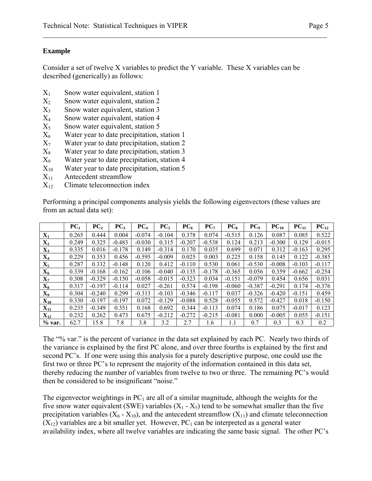#### **Example**

Consider a set of twelve X variables to predict the Y variable. These X variables can be described (generically) as follows:

 $\mathcal{L}_\mathcal{L} = \mathcal{L}_\mathcal{L} = \mathcal{L}_\mathcal{L} = \mathcal{L}_\mathcal{L} = \mathcal{L}_\mathcal{L} = \mathcal{L}_\mathcal{L} = \mathcal{L}_\mathcal{L} = \mathcal{L}_\mathcal{L} = \mathcal{L}_\mathcal{L} = \mathcal{L}_\mathcal{L} = \mathcal{L}_\mathcal{L} = \mathcal{L}_\mathcal{L} = \mathcal{L}_\mathcal{L} = \mathcal{L}_\mathcal{L} = \mathcal{L}_\mathcal{L} = \mathcal{L}_\mathcal{L} = \mathcal{L}_\mathcal{L}$ 

- $X_1$  Snow water equivalent, station 1
- $X_2$  Snow water equivalent, station 2
- $X_3$  Snow water equivalent, station 3
- X4 Snow water equivalent, station 4
- $X<sub>5</sub>$  Snow water equivalent, station 5
- $X<sub>6</sub>$  Water year to date precipitation, station 1
- $X_7$  Water year to date precipitation, station 2
- $X_8$  Water year to date precipitation, station 3
- X9 Water year to date precipitation, station 4
- $X_{10}$  Water year to date precipitation, station 5
- $X_{11}$  Antecedent streamflow
- $X_{12}$  Climate teleconnection index

Performing a principal components analysis yields the following eigenvectors (these values are from an actual data set):

|                   | PC <sub>1</sub> | PC <sub>2</sub> | PC <sub>3</sub> | PC <sub>4</sub> | $PC_{5}$ | PC <sub>6</sub> | PC <sub>7</sub> | $PC_{8}$ | PC <sub>9</sub> | $PC_{10}$ | $PC_{11}$ | $PC_{12}$ |
|-------------------|-----------------|-----------------|-----------------|-----------------|----------|-----------------|-----------------|----------|-----------------|-----------|-----------|-----------|
| $\mathbf{X}_1$    | 0.265           | 0.444           | 0.004           | $-0.074$        | $-0.104$ | 0.378           | 0.074           | $-0.515$ | 0.126           | 0.087     | 0.085     | 0.522     |
| $X_2$             | 0.249           | 0.325           | $-0.483$        | $-0.030$        | 0.315    | $-0.207$        | $-0.538$        | 0.124    | 0.213           | $-0.300$  | 0.129     | $-0.015$  |
| $X_3$             | 0.335           | 0.016           | $-0.178$        | 0.149           | $-0.314$ | 0.170           | 0.035           | 0.699    | 0.071           | 0.312     | $-0.163$  | 0.295     |
| $X_4$             | 0.229           | 0.353           | 0.456           | $-0.595$        | $-0.009$ | 0.025           | 0.003           | 0.225    | 0.158           | 0.145     | 0.122     | $-0.385$  |
| $\mathbf{X}_5$    | 0.287           | 0.332           | $-0.148$        | 0.120           | 0.412    | $-0.110$        | 0.530           | 0.061    | $-0.530$        | $-0.008$  | $-0.103$  | $-0.117$  |
| $X_6$             | 0.339           | $-0.168$        | $-0.162$        | $-0.106$        | $-0.040$ | $-0.135$        | $-0.178$        | $-0.365$ | 0.056           | 0.359     | $-0.662$  | $-0.254$  |
| $\mathbf{X}_7$    | 0.308           | $-0.329$        | $-0.150$        | $-0.058$        | $-0.015$ | $-0.323$        | 0.034           | $-0.151$ | $-0.079$        | 0.454     | 0.656     | 0.031     |
| $\mathbf{X}_8$    | 0.317           | $-0.197$        | $-0.114$        | 0.027           | $-0.261$ | 0.574           | $-0.198$        | $-0.060$ | $-0.387$        | $-0.291$  | 0.174     | $-0.376$  |
| $\mathbf{X_9}$    | 0.304           | $-0.240$        | 0.299           | $-0.313$        | $-0.103$ | $-0.346$        | $-0.117$        | 0.037    | $-0.326$        | $-0.420$  | $-0.151$  | 0.459     |
| $\mathbf{X_{10}}$ | 0.330           | $-0.197$        | $-0.197$        | 0.072           | $-0.129$ | $-0.088$        | 0.528           | $-0.055$ | 0.572           | $-0.427$  | 0.018     | $-0.150$  |
| $\mathbf{X_{11}}$ | 0.235           | $-0.349$        | 0.351           | 0.168           | 0.692    | 0.344           | $-0.113$        | 0.074    | 0.186           | 0.075     | $-0.017$  | 0.123     |
| $X_{12}$          | 0.232           | 0.262           | 0.473           | 0.675           | $-0.212$ | $-0.272$        | $-0.215$        | $-0.081$ | 0.000           | $-0.005$  | 0.055     | $-0.151$  |
| % var.            | 62.7            | 15.8            | 7.8             | 3.8             | 3.2      | 2.7             | 1.6             | 1.1      | 0.7             | 0.3       | 0.3       | 0.2       |

The "% var." is the percent of variance in the data set explained by each PC. Nearly two thirds of the variance is explained by the first PC alone, and over three fourths is explained by the first and second PC's. If one were using this analysis for a purely descriptive purpose, one could use the first two or three PC's to represent the majority of the information contained in this data set, thereby reducing the number of variables from twelve to two or three. The remaining PC's would then be considered to be insignificant "noise."

The eigenvector weightings in  $PC_1$  are all of a similar magnitude, although the weights for the five snow water equivalent (SWE) variables  $(X_1 - X_5)$  tend to be somewhat smaller than the five precipitation variables  $(X_6 - X_{10})$ , and the antecedent streamflow  $(X_{11})$  and climate teleconnection  $(X_{12})$  variables are a bit smaller yet. However, PC<sub>1</sub> can be interpreted as a general water availability index, where all twelve variables are indicating the same basic signal. The other PC's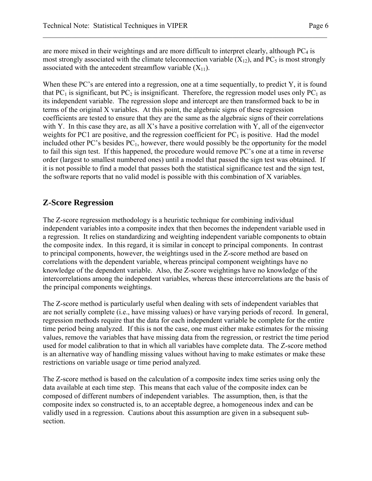are more mixed in their weightings and are more difficult to interpret clearly, although  $PC_4$  is most strongly associated with the climate teleconnection variable  $(X_{12})$ , and PC<sub>5</sub> is most strongly associated with the antecedent streamflow variable  $(X_{11})$ .

 $\mathcal{L}_\mathcal{L} = \mathcal{L}_\mathcal{L} = \mathcal{L}_\mathcal{L} = \mathcal{L}_\mathcal{L} = \mathcal{L}_\mathcal{L} = \mathcal{L}_\mathcal{L} = \mathcal{L}_\mathcal{L} = \mathcal{L}_\mathcal{L} = \mathcal{L}_\mathcal{L} = \mathcal{L}_\mathcal{L} = \mathcal{L}_\mathcal{L} = \mathcal{L}_\mathcal{L} = \mathcal{L}_\mathcal{L} = \mathcal{L}_\mathcal{L} = \mathcal{L}_\mathcal{L} = \mathcal{L}_\mathcal{L} = \mathcal{L}_\mathcal{L}$ 

When these PC's are entered into a regression, one at a time sequentially, to predict Y, it is found that PC<sub>1</sub> is significant, but PC<sub>2</sub> is insignificant. Therefore, the regression model uses only PC<sub>1</sub> as its independent variable. The regression slope and intercept are then transformed back to be in terms of the original X variables. At this point, the algebraic signs of these regression coefficients are tested to ensure that they are the same as the algebraic signs of their correlations with Y. In this case they are, as all X's have a positive correlation with Y, all of the eigenvector weights for PC1 are positive, and the regression coefficient for  $PC<sub>1</sub>$  is positive. Had the model included other PC's besides  $PC_1$ , however, there would possibly be the opportunity for the model to fail this sign test. If this happened, the procedure would remove PC's one at a time in reverse order (largest to smallest numbered ones) until a model that passed the sign test was obtained. If it is not possible to find a model that passes both the statistical significance test and the sign test, the software reports that no valid model is possible with this combination of X variables.

# **Z-Score Regression**

The Z-score regression methodology is a heuristic technique for combining individual independent variables into a composite index that then becomes the independent variable used in a regression. It relies on standardizing and weighting independent variable components to obtain the composite index. In this regard, it is similar in concept to principal components. In contrast to principal components, however, the weightings used in the Z-score method are based on correlations with the dependent variable, whereas principal component weightings have no knowledge of the dependent variable. Also, the Z-score weightings have no knowledge of the intercorrelations among the independent variables, whereas these intercorrelations are the basis of the principal components weightings.

The Z-score method is particularly useful when dealing with sets of independent variables that are not serially complete (i.e., have missing values) or have varying periods of record. In general, regression methods require that the data for each independent variable be complete for the entire time period being analyzed. If this is not the case, one must either make estimates for the missing values, remove the variables that have missing data from the regression, or restrict the time period used for model calibration to that in which all variables have complete data. The Z-score method is an alternative way of handling missing values without having to make estimates or make these restrictions on variable usage or time period analyzed.

The Z-score method is based on the calculation of a composite index time series using only the data available at each time step. This means that each value of the composite index can be composed of different numbers of independent variables. The assumption, then, is that the composite index so constructed is, to an acceptable degree, a homogeneous index and can be validly used in a regression. Cautions about this assumption are given in a subsequent subsection.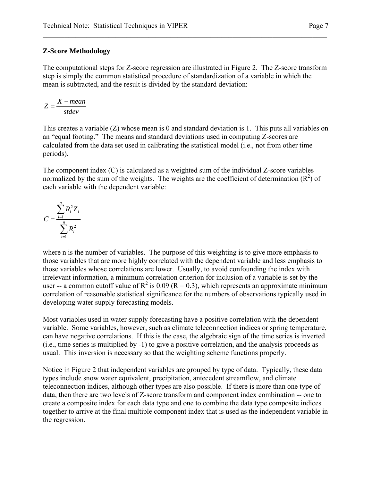#### **Z-Score Methodology**

The computational steps for Z-score regression are illustrated in Figure 2. The Z-score transform step is simply the common statistical procedure of standardization of a variable in which the mean is subtracted, and the result is divided by the standard deviation:

 $\mathcal{L}_\mathcal{L} = \mathcal{L}_\mathcal{L} = \mathcal{L}_\mathcal{L} = \mathcal{L}_\mathcal{L} = \mathcal{L}_\mathcal{L} = \mathcal{L}_\mathcal{L} = \mathcal{L}_\mathcal{L} = \mathcal{L}_\mathcal{L} = \mathcal{L}_\mathcal{L} = \mathcal{L}_\mathcal{L} = \mathcal{L}_\mathcal{L} = \mathcal{L}_\mathcal{L} = \mathcal{L}_\mathcal{L} = \mathcal{L}_\mathcal{L} = \mathcal{L}_\mathcal{L} = \mathcal{L}_\mathcal{L} = \mathcal{L}_\mathcal{L}$ 

$$
Z = \frac{X - mean}{stdev}
$$

This creates a variable (Z) whose mean is 0 and standard deviation is 1. This puts all variables on an "equal footing." The means and standard deviations used in computing Z-scores are calculated from the data set used in calibrating the statistical model (i.e., not from other time periods).

The component index (C) is calculated as a weighted sum of the individual Z-score variables normalized by the sum of the weights. The weights are the coefficient of determination  $(R^2)$  of each variable with the dependent variable:

$$
C = \frac{\sum_{i=1}^n R_i^2 Z_i}{\sum_{i=1}^n R_i^2}
$$

where n is the number of variables. The purpose of this weighting is to give more emphasis to those variables that are more highly correlated with the dependent variable and less emphasis to those variables whose correlations are lower. Usually, to avoid confounding the index with irrelevant information, a minimum correlation criterion for inclusion of a variable is set by the user -- a common cutoff value of  $R^2$  is 0.09 ( $R = 0.3$ ), which represents an approximate minimum correlation of reasonable statistical significance for the numbers of observations typically used in developing water supply forecasting models.

Most variables used in water supply forecasting have a positive correlation with the dependent variable. Some variables, however, such as climate teleconnection indices or spring temperature, can have negative correlations. If this is the case, the algebraic sign of the time series is inverted (i.e., time series is multiplied by -1) to give a positive correlation, and the analysis proceeds as usual. This inversion is necessary so that the weighting scheme functions properly.

Notice in Figure 2 that independent variables are grouped by type of data. Typically, these data types include snow water equivalent, precipitation, antecedent streamflow, and climate teleconnection indices, although other types are also possible. If there is more than one type of data, then there are two levels of Z-score transform and component index combination -- one to create a composite index for each data type and one to combine the data type composite indices together to arrive at the final multiple component index that is used as the independent variable in the regression.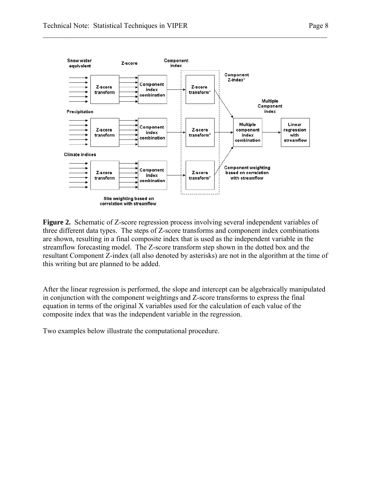

 $\mathcal{L}_\mathcal{L} = \mathcal{L}_\mathcal{L} = \mathcal{L}_\mathcal{L} = \mathcal{L}_\mathcal{L} = \mathcal{L}_\mathcal{L} = \mathcal{L}_\mathcal{L} = \mathcal{L}_\mathcal{L} = \mathcal{L}_\mathcal{L} = \mathcal{L}_\mathcal{L} = \mathcal{L}_\mathcal{L} = \mathcal{L}_\mathcal{L} = \mathcal{L}_\mathcal{L} = \mathcal{L}_\mathcal{L} = \mathcal{L}_\mathcal{L} = \mathcal{L}_\mathcal{L} = \mathcal{L}_\mathcal{L} = \mathcal{L}_\mathcal{L}$ 

**Figure 2.** Schematic of Z-score regression process involving several independent variables of three different data types. The steps of Z-score transforms and component index combinations are shown, resulting in a final composite index that is used as the independent variable in the streamflow forecasting model. The Z-score transform step shown in the dotted box and the resultant Component Z-index (all also denoted by asterisks) are not in the algorithm at the time of this writing but are planned to be added.

After the linear regression is performed, the slope and intercept can be algebraically manipulated in conjunction with the component weightings and Z-score transforms to express the final equation in terms of the original X variables used for the calculation of each value of the composite index that was the independent variable in the regression.

Two examples below illustrate the computational procedure.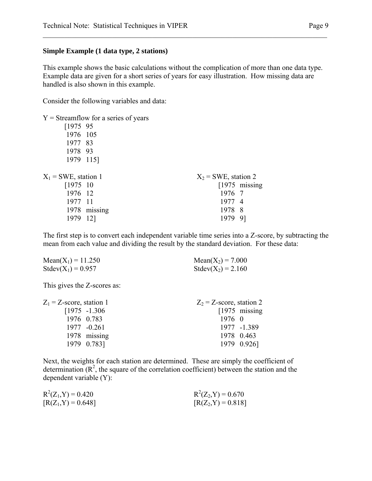#### **Simple Example (1 data type, 2 stations)**

This example shows the basic calculations without the complication of more than one data type. Example data are given for a short series of years for easy illustration. How missing data are handled is also shown in this example.

 $\mathcal{L}_\mathcal{L} = \mathcal{L}_\mathcal{L} = \mathcal{L}_\mathcal{L} = \mathcal{L}_\mathcal{L} = \mathcal{L}_\mathcal{L} = \mathcal{L}_\mathcal{L} = \mathcal{L}_\mathcal{L} = \mathcal{L}_\mathcal{L} = \mathcal{L}_\mathcal{L} = \mathcal{L}_\mathcal{L} = \mathcal{L}_\mathcal{L} = \mathcal{L}_\mathcal{L} = \mathcal{L}_\mathcal{L} = \mathcal{L}_\mathcal{L} = \mathcal{L}_\mathcal{L} = \mathcal{L}_\mathcal{L} = \mathcal{L}_\mathcal{L}$ 

Consider the following variables and data:

|                        | $Y =$ Streamflow for a series of years |                        |                 |
|------------------------|----------------------------------------|------------------------|-----------------|
| [197595]               |                                        |                        |                 |
| 1976 105               |                                        |                        |                 |
| 1977 83                |                                        |                        |                 |
| 1978 93                |                                        |                        |                 |
| 1979 115]              |                                        |                        |                 |
|                        |                                        |                        |                 |
| $X_1$ = SWE, station 1 |                                        | $X_2$ = SWE, station 2 |                 |
| $[1975 \ 10$           |                                        |                        | $[1975$ missing |
| 1976 12                |                                        | 1976 7                 |                 |
| 1977 11                |                                        | 1977 4                 |                 |
|                        | 1978 missing                           | 1978 8                 |                 |
| 1979                   | 12]                                    | 1979                   | 91              |

The first step is to convert each independent variable time series into a Z-score, by subtracting the mean from each value and dividing the result by the standard deviation. For these data:

| $Mean(X_1) = 11.250$ | Mean( $X_2$ ) = 7.000  |
|----------------------|------------------------|
| $Stdev(X_1) = 0.957$ | Stdev( $X_2$ ) = 2.160 |

This gives the Z-scores as:

| $Z_1$ = Z-score, station 1 |                  | $Z_2$ = Z-score, station 2 |                 |
|----------------------------|------------------|----------------------------|-----------------|
|                            | $[1975 - 1.306]$ |                            | $[1975$ missing |
|                            | 1976 0.783       | $1976 \quad 0$             |                 |
|                            | 1977 -0.261      |                            | 1977 -1.389     |
|                            | 1978 missing     |                            | 1978 0.463      |
|                            | 1979 0.783]      |                            | 1979 0.926]     |

Next, the weights for each station are determined. These are simply the coefficient of determination  $(R^2)$ , the square of the correlation coefficient) between the station and the dependent variable (Y):

| $R^2(Z_1, Y) = 0.420$ | $R^2(Z_2, Y) = 0.670$ |
|-----------------------|-----------------------|
| $[R(Z_1, Y) = 0.648]$ | $[R(Z_2, Y) = 0.818]$ |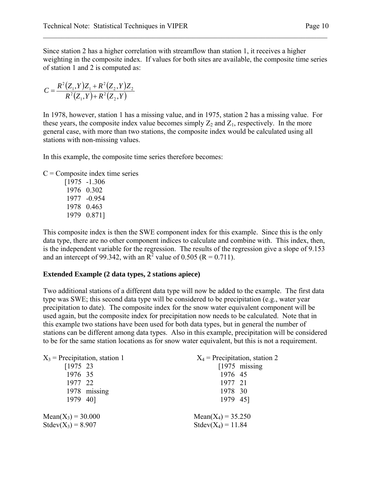Since station 2 has a higher correlation with streamflow than station 1, it receives a higher weighting in the composite index. If values for both sites are available, the composite time series of station 1 and 2 is computed as:

 $\mathcal{L}_\mathcal{L} = \mathcal{L}_\mathcal{L} = \mathcal{L}_\mathcal{L} = \mathcal{L}_\mathcal{L} = \mathcal{L}_\mathcal{L} = \mathcal{L}_\mathcal{L} = \mathcal{L}_\mathcal{L} = \mathcal{L}_\mathcal{L} = \mathcal{L}_\mathcal{L} = \mathcal{L}_\mathcal{L} = \mathcal{L}_\mathcal{L} = \mathcal{L}_\mathcal{L} = \mathcal{L}_\mathcal{L} = \mathcal{L}_\mathcal{L} = \mathcal{L}_\mathcal{L} = \mathcal{L}_\mathcal{L} = \mathcal{L}_\mathcal{L}$ 

$$
C = \frac{R^2(Z_1, Y)Z_1 + R^2(Z_2, Y)Z_2}{R^2(Z_1, Y) + R^2(Z_2, Y)}
$$

In 1978, however, station 1 has a missing value, and in 1975, station 2 has a missing value. For these years, the composite index value becomes simply  $Z_2$  and  $Z_1$ , respectively. In the more general case, with more than two stations, the composite index would be calculated using all stations with non-missing values.

In this example, the composite time series therefore becomes:

 $C =$ Composite index time series

 [1975 -1.306 1976 0.302 1977 -0.954 1978 0.463 1979 0.871]

This composite index is then the SWE component index for this example. Since this is the only data type, there are no other component indices to calculate and combine with. This index, then, is the independent variable for the regression. The results of the regression give a slope of 9.153 and an intercept of 99.342, with an  $\overline{R}^2$  value of 0.505 (R = 0.711).

#### **Extended Example (2 data types, 2 stations apiece)**

Two additional stations of a different data type will now be added to the example. The first data type was SWE; this second data type will be considered to be precipitation (e.g., water year precipitation to date). The composite index for the snow water equivalent component will be used again, but the composite index for precipitation now needs to be calculated. Note that in this example two stations have been used for both data types, but in general the number of stations can be different among data types. Also in this example, precipitation will be considered to be for the same station locations as for snow water equivalent, but this is not a requirement.

| $X_3$ = Precipitation, station 1 | $X_4$ = Precipitation, station 2 |  |  |
|----------------------------------|----------------------------------|--|--|
| $[1975 \t23]$                    | $[1975$ missing                  |  |  |
| 1976 35                          | 1976 45                          |  |  |
| 1977 22                          | 1977 21                          |  |  |
| 1978 missing                     | 1978 30                          |  |  |
| 1979 40]                         | 1979 45]                         |  |  |
| $Mean(X_3) = 30.000$             | $Mean(X_4) = 35.250$             |  |  |
| $Stdev(X_3) = 8.907$             | $Stdev(X_4) = 11.84$             |  |  |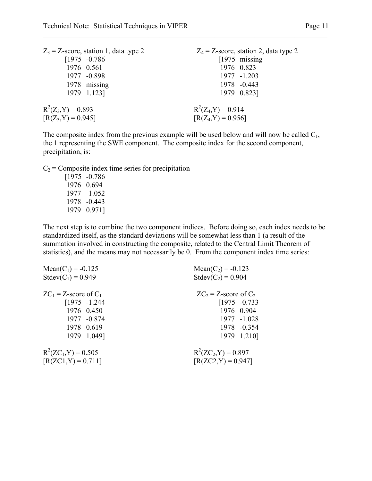| $Z_3$ = Z-score, station 1, data type 2 | $Z_4$ = Z-score, station 2, data type 2 |
|-----------------------------------------|-----------------------------------------|
| $[1975 -0.786]$                         | $[1975 \; \text{missing}]$              |
| 1976 0.561                              | 1976 0.823                              |
| 1977 -0.898                             | 1977 -1.203                             |
| 1978 missing                            | 1978 -0.443                             |
| 1979 1.123]                             | 1979 0.823]                             |
| $R^2(Z_3, Y) = 0.893$                   | $R^2(Z_4,Y) = 0.914$                    |
| $[R(Z_3, Y) = 0.945]$                   | $[R(Z_4, Y) = 0.956]$                   |

The composite index from the previous example will be used below and will now be called  $C_1$ , the 1 representing the SWE component. The composite index for the second component, precipitation, is:

 $\mathcal{L}_\mathcal{L} = \mathcal{L}_\mathcal{L} = \mathcal{L}_\mathcal{L} = \mathcal{L}_\mathcal{L} = \mathcal{L}_\mathcal{L} = \mathcal{L}_\mathcal{L} = \mathcal{L}_\mathcal{L} = \mathcal{L}_\mathcal{L} = \mathcal{L}_\mathcal{L} = \mathcal{L}_\mathcal{L} = \mathcal{L}_\mathcal{L} = \mathcal{L}_\mathcal{L} = \mathcal{L}_\mathcal{L} = \mathcal{L}_\mathcal{L} = \mathcal{L}_\mathcal{L} = \mathcal{L}_\mathcal{L} = \mathcal{L}_\mathcal{L}$ 

 $C_2$  = Composite index time series for precipitation

 [1975 -0.786 1976 0.694 1977 -1.052 1978 -0.443 1979 0.971]

The next step is to combine the two component indices. Before doing so, each index needs to be standardized itself, as the standard deviations will be somewhat less than 1 (a result of the summation involved in constructing the composite, related to the Central Limit Theorem of statistics), and the means may not necessarily be 0. From the component index time series:

| $Mean(C_1) = -0.125$                           | $Mean(C_2) = -0.123$                            |
|------------------------------------------------|-------------------------------------------------|
| $Stdev(C_1) = 0.949$                           | $Stdev(C_2) = 0.904$                            |
| $ZC_1$ = Z-score of $C_1$                      | $ZC_2 = Z$ -score of $C_2$                      |
| $[1975 - 1.244]$                               | $[1975 -0.733]$                                 |
| 1976 0.450                                     | 1976 0.904                                      |
| 1977 -0.874                                    | 1977 -1.028                                     |
| 1978 0.619                                     | 1978 -0.354                                     |
| 1979 1.049]                                    | 1979 1.210]                                     |
| $R^2(ZC_1, Y) = 0.505$<br>$[R(ZC1,Y) = 0.711]$ | $R^2(ZC_2, Y) = 0.897$<br>$[R(ZC2, Y) = 0.947]$ |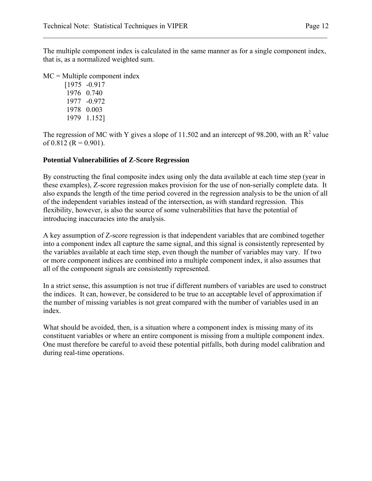The multiple component index is calculated in the same manner as for a single component index, that is, as a normalized weighted sum.

 $\mathcal{L}_\mathcal{L} = \mathcal{L}_\mathcal{L} = \mathcal{L}_\mathcal{L} = \mathcal{L}_\mathcal{L} = \mathcal{L}_\mathcal{L} = \mathcal{L}_\mathcal{L} = \mathcal{L}_\mathcal{L} = \mathcal{L}_\mathcal{L} = \mathcal{L}_\mathcal{L} = \mathcal{L}_\mathcal{L} = \mathcal{L}_\mathcal{L} = \mathcal{L}_\mathcal{L} = \mathcal{L}_\mathcal{L} = \mathcal{L}_\mathcal{L} = \mathcal{L}_\mathcal{L} = \mathcal{L}_\mathcal{L} = \mathcal{L}_\mathcal{L}$ 

MC = Multiple component index

 [1975 -0.917 1976 0.740 1977 -0.972 1978 0.003 1979 1.152]

The regression of MC with Y gives a slope of 11.502 and an intercept of 98.200, with an  $\mathbb{R}^2$  value of 0.812 ( $R = 0.901$ ).

#### **Potential Vulnerabilities of Z-Score Regression**

By constructing the final composite index using only the data available at each time step (year in these examples), Z-score regression makes provision for the use of non-serially complete data. It also expands the length of the time period covered in the regression analysis to be the union of all of the independent variables instead of the intersection, as with standard regression. This flexibility, however, is also the source of some vulnerabilities that have the potential of introducing inaccuracies into the analysis.

A key assumption of Z-score regression is that independent variables that are combined together into a component index all capture the same signal, and this signal is consistently represented by the variables available at each time step, even though the number of variables may vary. If two or more component indices are combined into a multiple component index, it also assumes that all of the component signals are consistently represented.

In a strict sense, this assumption is not true if different numbers of variables are used to construct the indices. It can, however, be considered to be true to an acceptable level of approximation if the number of missing variables is not great compared with the number of variables used in an index.

What should be avoided, then, is a situation where a component index is missing many of its constituent variables or where an entire component is missing from a multiple component index. One must therefore be careful to avoid these potential pitfalls, both during model calibration and during real-time operations.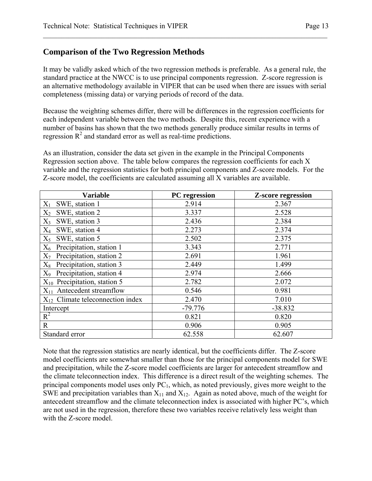# **Comparison of the Two Regression Methods**

It may be validly asked which of the two regression methods is preferable. As a general rule, the standard practice at the NWCC is to use principal components regression. Z-score regression is an alternative methodology available in VIPER that can be used when there are issues with serial completeness (missing data) or varying periods of record of the data.

 $\mathcal{L}_\mathcal{L} = \mathcal{L}_\mathcal{L} = \mathcal{L}_\mathcal{L} = \mathcal{L}_\mathcal{L} = \mathcal{L}_\mathcal{L} = \mathcal{L}_\mathcal{L} = \mathcal{L}_\mathcal{L} = \mathcal{L}_\mathcal{L} = \mathcal{L}_\mathcal{L} = \mathcal{L}_\mathcal{L} = \mathcal{L}_\mathcal{L} = \mathcal{L}_\mathcal{L} = \mathcal{L}_\mathcal{L} = \mathcal{L}_\mathcal{L} = \mathcal{L}_\mathcal{L} = \mathcal{L}_\mathcal{L} = \mathcal{L}_\mathcal{L}$ 

Because the weighting schemes differ, there will be differences in the regression coefficients for each independent variable between the two methods. Despite this, recent experience with a number of basins has shown that the two methods generally produce similar results in terms of regression  $R^2$  and standard error as well as real-time predictions.

As an illustration, consider the data set given in the example in the Principal Components Regression section above. The table below compares the regression coefficients for each X variable and the regression statistics for both principal components and Z-score models. For the Z-score model, the coefficients are calculated assuming all X variables are available.

| <b>Variable</b>                       | PC regression | <b>Z-score regression</b> |
|---------------------------------------|---------------|---------------------------|
| $X_1$ SWE, station 1                  | 2.914         | 2.367                     |
| $X_2$<br>SWE, station 2               | 3.337         | 2.528                     |
| $X_3$ SWE, station 3                  | 2.436         | 2.384                     |
| SWE, station 4<br>$X_4$               | 2.273         | 2.374                     |
| $X_5$ SWE, station 5                  | 2.502         | 2.375                     |
| $X_6$ Precipitation, station 1        | 3.343         | 2.771                     |
| $X_7$ Precipitation, station 2        | 2.691         | 1.961                     |
| $X_8$ Precipitation, station 3        | 2.449         | 1.499                     |
| $X_9$ Precipitation, station 4        | 2.974         | 2.666                     |
| $X_{10}$ Precipitation, station 5     | 2.782         | 2.072                     |
| $X_{11}$ Antecedent streamflow        | 0.546         | 0.981                     |
| $X_{12}$ Climate teleconnection index | 2.470         | 7.010                     |
| Intercept                             | $-79.776$     | $-38.832$                 |
| $R^2$                                 | 0.821         | 0.820                     |
| $\mathbf R$                           | 0.906         | 0.905                     |
| Standard error                        | 62.558        | 62.607                    |

Note that the regression statistics are nearly identical, but the coefficients differ. The Z-score model coefficients are somewhat smaller than those for the principal components model for SWE and precipitation, while the Z-score model coefficients are larger for antecedent streamflow and the climate teleconnection index. This difference is a direct result of the weighting schemes. The principal components model uses only  $PC<sub>1</sub>$ , which, as noted previously, gives more weight to the SWE and precipitation variables than  $X_{11}$  and  $X_{12}$ . Again as noted above, much of the weight for antecedent streamflow and the climate teleconnection index is associated with higher PC's, which are not used in the regression, therefore these two variables receive relatively less weight than with the Z-score model.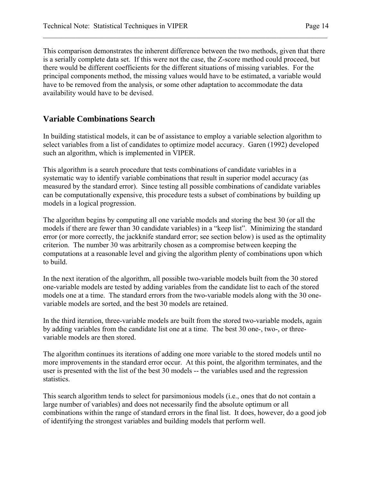This comparison demonstrates the inherent difference between the two methods, given that there is a serially complete data set. If this were not the case, the Z-score method could proceed, but there would be different coefficients for the different situations of missing variables. For the principal components method, the missing values would have to be estimated, a variable would have to be removed from the analysis, or some other adaptation to accommodate the data availability would have to be devised.

 $\mathcal{L}_\mathcal{L} = \mathcal{L}_\mathcal{L} = \mathcal{L}_\mathcal{L} = \mathcal{L}_\mathcal{L} = \mathcal{L}_\mathcal{L} = \mathcal{L}_\mathcal{L} = \mathcal{L}_\mathcal{L} = \mathcal{L}_\mathcal{L} = \mathcal{L}_\mathcal{L} = \mathcal{L}_\mathcal{L} = \mathcal{L}_\mathcal{L} = \mathcal{L}_\mathcal{L} = \mathcal{L}_\mathcal{L} = \mathcal{L}_\mathcal{L} = \mathcal{L}_\mathcal{L} = \mathcal{L}_\mathcal{L} = \mathcal{L}_\mathcal{L}$ 

### **Variable Combinations Search**

In building statistical models, it can be of assistance to employ a variable selection algorithm to select variables from a list of candidates to optimize model accuracy. Garen (1992) developed such an algorithm, which is implemented in VIPER.

This algorithm is a search procedure that tests combinations of candidate variables in a systematic way to identify variable combinations that result in superior model accuracy (as measured by the standard error). Since testing all possible combinations of candidate variables can be computationally expensive, this procedure tests a subset of combinations by building up models in a logical progression.

The algorithm begins by computing all one variable models and storing the best 30 (or all the models if there are fewer than 30 candidate variables) in a "keep list". Minimizing the standard error (or more correctly, the jackknife standard error; see section below) is used as the optimality criterion. The number 30 was arbitrarily chosen as a compromise between keeping the computations at a reasonable level and giving the algorithm plenty of combinations upon which to build.

In the next iteration of the algorithm, all possible two-variable models built from the 30 stored one-variable models are tested by adding variables from the candidate list to each of the stored models one at a time. The standard errors from the two-variable models along with the 30 onevariable models are sorted, and the best 30 models are retained.

In the third iteration, three-variable models are built from the stored two-variable models, again by adding variables from the candidate list one at a time. The best 30 one-, two-, or threevariable models are then stored.

The algorithm continues its iterations of adding one more variable to the stored models until no more improvements in the standard error occur. At this point, the algorithm terminates, and the user is presented with the list of the best 30 models -- the variables used and the regression statistics.

This search algorithm tends to select for parsimonious models (i.e., ones that do not contain a large number of variables) and does not necessarily find the absolute optimum or all combinations within the range of standard errors in the final list. It does, however, do a good job of identifying the strongest variables and building models that perform well.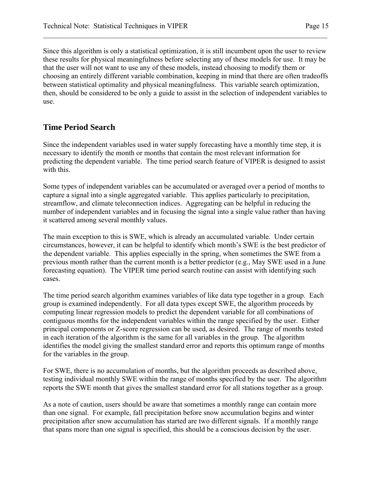Since this algorithm is only a statistical optimization, it is still incumbent upon the user to review these results for physical meaningfulness before selecting any of these models for use. It may be that the user will not want to use any of these models, instead choosing to modify them or choosing an entirely different variable combination, keeping in mind that there are often tradeoffs between statistical optimality and physical meaningfulness. This variable search optimization, then, should be considered to be only a guide to assist in the selection of independent variables to use.

 $\mathcal{L}_\mathcal{L} = \mathcal{L}_\mathcal{L} = \mathcal{L}_\mathcal{L} = \mathcal{L}_\mathcal{L} = \mathcal{L}_\mathcal{L} = \mathcal{L}_\mathcal{L} = \mathcal{L}_\mathcal{L} = \mathcal{L}_\mathcal{L} = \mathcal{L}_\mathcal{L} = \mathcal{L}_\mathcal{L} = \mathcal{L}_\mathcal{L} = \mathcal{L}_\mathcal{L} = \mathcal{L}_\mathcal{L} = \mathcal{L}_\mathcal{L} = \mathcal{L}_\mathcal{L} = \mathcal{L}_\mathcal{L} = \mathcal{L}_\mathcal{L}$ 

### **Time Period Search**

Since the independent variables used in water supply forecasting have a monthly time step, it is necessary to identify the month or months that contain the most relevant information for predicting the dependent variable. The time period search feature of VIPER is designed to assist with this.

Some types of independent variables can be accumulated or averaged over a period of months to capture a signal into a single aggregated variable. This applies particularly to precipitation, streamflow, and climate teleconnection indices. Aggregating can be helpful in reducing the number of independent variables and in focusing the signal into a single value rather than having it scattered among several monthly values.

The main exception to this is SWE, which is already an accumulated variable. Under certain circumstances, however, it can be helpful to identify which month's SWE is the best predictor of the dependent variable. This applies especially in the spring, when sometimes the SWE from a previous month rather than the current month is a better predictor (e.g., May SWE used in a June forecasting equation). The VIPER time period search routine can assist with identifying such cases.

The time period search algorithm examines variables of like data type together in a group. Each group is examined independently. For all data types except SWE, the algorithm proceeds by computing linear regression models to predict the dependent variable for all combinations of contiguous months for the independent variables within the range specified by the user. Either principal components or Z-score regression can be used, as desired. The range of months tested in each iteration of the algorithm is the same for all variables in the group. The algorithm identifies the model giving the smallest standard error and reports this optimum range of months for the variables in the group.

For SWE, there is no accumulation of months, but the algorithm proceeds as described above, testing individual monthly SWE within the range of months specified by the user. The algorithm reports the SWE month that gives the smallest standard error for all stations together as a group.

As a note of caution, users should be aware that sometimes a monthly range can contain more than one signal. For example, fall precipitation before snow accumulation begins and winter precipitation after snow accumulation has started are two different signals. If a monthly range that spans more than one signal is specified, this should be a conscious decision by the user.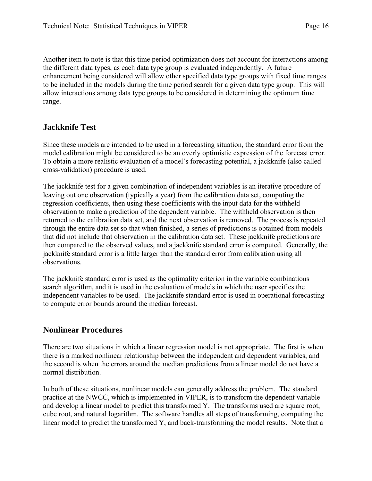Another item to note is that this time period optimization does not account for interactions among the different data types, as each data type group is evaluated independently. A future enhancement being considered will allow other specified data type groups with fixed time ranges to be included in the models during the time period search for a given data type group. This will allow interactions among data type groups to be considered in determining the optimum time range.

 $\mathcal{L}_\mathcal{L} = \mathcal{L}_\mathcal{L} = \mathcal{L}_\mathcal{L} = \mathcal{L}_\mathcal{L} = \mathcal{L}_\mathcal{L} = \mathcal{L}_\mathcal{L} = \mathcal{L}_\mathcal{L} = \mathcal{L}_\mathcal{L} = \mathcal{L}_\mathcal{L} = \mathcal{L}_\mathcal{L} = \mathcal{L}_\mathcal{L} = \mathcal{L}_\mathcal{L} = \mathcal{L}_\mathcal{L} = \mathcal{L}_\mathcal{L} = \mathcal{L}_\mathcal{L} = \mathcal{L}_\mathcal{L} = \mathcal{L}_\mathcal{L}$ 

# **Jackknife Test**

Since these models are intended to be used in a forecasting situation, the standard error from the model calibration might be considered to be an overly optimistic expression of the forecast error. To obtain a more realistic evaluation of a model's forecasting potential, a jackknife (also called cross-validation) procedure is used.

The jackknife test for a given combination of independent variables is an iterative procedure of leaving out one observation (typically a year) from the calibration data set, computing the regression coefficients, then using these coefficients with the input data for the withheld observation to make a prediction of the dependent variable. The withheld observation is then returned to the calibration data set, and the next observation is removed. The process is repeated through the entire data set so that when finished, a series of predictions is obtained from models that did not include that observation in the calibration data set. These jackknife predictions are then compared to the observed values, and a jackknife standard error is computed. Generally, the jackknife standard error is a little larger than the standard error from calibration using all observations.

The jackknife standard error is used as the optimality criterion in the variable combinations search algorithm, and it is used in the evaluation of models in which the user specifies the independent variables to be used. The jackknife standard error is used in operational forecasting to compute error bounds around the median forecast.

# **Nonlinear Procedures**

There are two situations in which a linear regression model is not appropriate. The first is when there is a marked nonlinear relationship between the independent and dependent variables, and the second is when the errors around the median predictions from a linear model do not have a normal distribution.

In both of these situations, nonlinear models can generally address the problem. The standard practice at the NWCC, which is implemented in VIPER, is to transform the dependent variable and develop a linear model to predict this transformed Y. The transforms used are square root, cube root, and natural logarithm. The software handles all steps of transforming, computing the linear model to predict the transformed Y, and back-transforming the model results. Note that a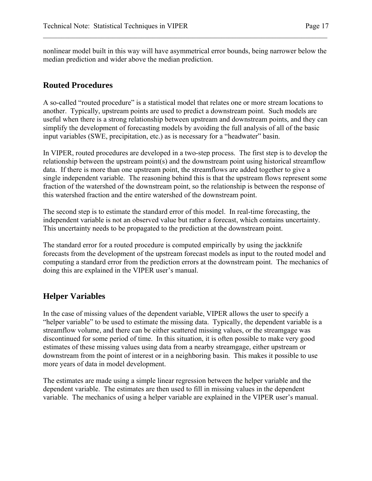nonlinear model built in this way will have asymmetrical error bounds, being narrower below the median prediction and wider above the median prediction.

 $\mathcal{L}_\mathcal{L} = \mathcal{L}_\mathcal{L} = \mathcal{L}_\mathcal{L} = \mathcal{L}_\mathcal{L} = \mathcal{L}_\mathcal{L} = \mathcal{L}_\mathcal{L} = \mathcal{L}_\mathcal{L} = \mathcal{L}_\mathcal{L} = \mathcal{L}_\mathcal{L} = \mathcal{L}_\mathcal{L} = \mathcal{L}_\mathcal{L} = \mathcal{L}_\mathcal{L} = \mathcal{L}_\mathcal{L} = \mathcal{L}_\mathcal{L} = \mathcal{L}_\mathcal{L} = \mathcal{L}_\mathcal{L} = \mathcal{L}_\mathcal{L}$ 

# **Routed Procedures**

A so-called "routed procedure" is a statistical model that relates one or more stream locations to another. Typically, upstream points are used to predict a downstream point. Such models are useful when there is a strong relationship between upstream and downstream points, and they can simplify the development of forecasting models by avoiding the full analysis of all of the basic input variables (SWE, precipitation, etc.) as is necessary for a "headwater" basin.

In VIPER, routed procedures are developed in a two-step process. The first step is to develop the relationship between the upstream point(s) and the downstream point using historical streamflow data. If there is more than one upstream point, the streamflows are added together to give a single independent variable. The reasoning behind this is that the upstream flows represent some fraction of the watershed of the downstream point, so the relationship is between the response of this watershed fraction and the entire watershed of the downstream point.

The second step is to estimate the standard error of this model. In real-time forecasting, the independent variable is not an observed value but rather a forecast, which contains uncertainty. This uncertainty needs to be propagated to the prediction at the downstream point.

The standard error for a routed procedure is computed empirically by using the jackknife forecasts from the development of the upstream forecast models as input to the routed model and computing a standard error from the prediction errors at the downstream point. The mechanics of doing this are explained in the VIPER user's manual.

# **Helper Variables**

In the case of missing values of the dependent variable, VIPER allows the user to specify a "helper variable" to be used to estimate the missing data. Typically, the dependent variable is a streamflow volume, and there can be either scattered missing values, or the streamgage was discontinued for some period of time. In this situation, it is often possible to make very good estimates of these missing values using data from a nearby streamgage, either upstream or downstream from the point of interest or in a neighboring basin. This makes it possible to use more years of data in model development.

The estimates are made using a simple linear regression between the helper variable and the dependent variable. The estimates are then used to fill in missing values in the dependent variable. The mechanics of using a helper variable are explained in the VIPER user's manual.